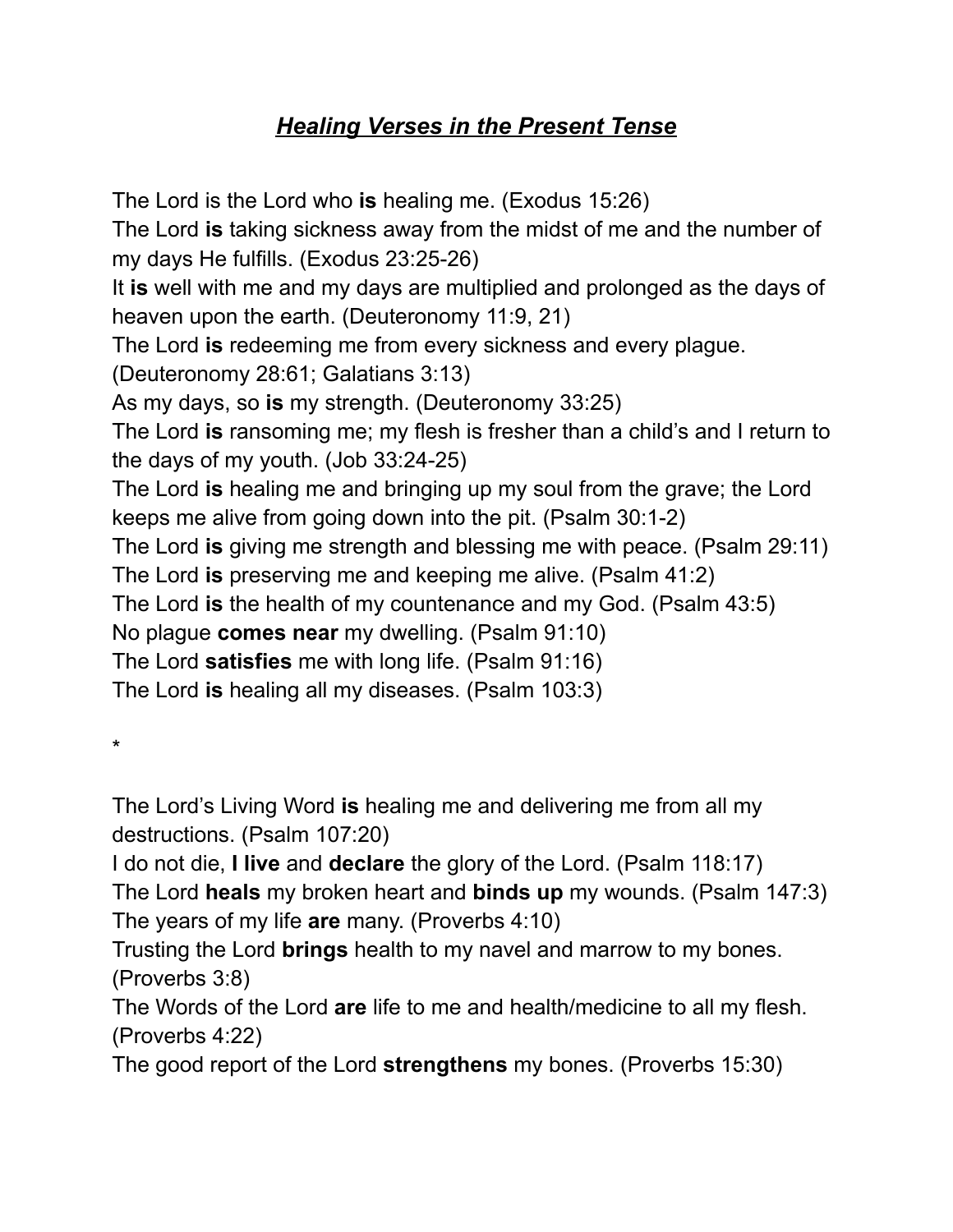## *Healing Verses in the Present Tense*

The Lord is the Lord who **is** healing me. (Exodus 15:26) The Lord **is** taking sickness away from the midst of me and the number of my days He fulfills. (Exodus 23:25-26) It **is** well with me and my days are multiplied and prolonged as the days of heaven upon the earth. (Deuteronomy 11:9, 21) The Lord **is** redeeming me from every sickness and every plague. (Deuteronomy 28:61; Galatians 3:13) As my days, so **is** my strength. (Deuteronomy 33:25) The Lord **is** ransoming me; my flesh is fresher than a child's and I return to the days of my youth. (Job 33:24-25) The Lord **is** healing me and bringing up my soul from the grave; the Lord keeps me alive from going down into the pit. (Psalm 30:1-2) The Lord **is** giving me strength and blessing me with peace. (Psalm 29:11) The Lord **is** preserving me and keeping me alive. (Psalm 41:2) The Lord **is** the health of my countenance and my God. (Psalm 43:5) No plague **comes near** my dwelling. (Psalm 91:10) The Lord **satisfies** me with long life. (Psalm 91:16) The Lord **is** healing all my diseases. (Psalm 103:3)

\*

The Lord's Living Word **is** healing me and delivering me from all my destructions. (Psalm 107:20)

I do not die, **I live** and **declare** the glory of the Lord. (Psalm 118:17) The Lord **heals** my broken heart and **binds up** my wounds. (Psalm 147:3) The years of my life **are** many. (Proverbs 4:10)

Trusting the Lord **brings** health to my navel and marrow to my bones. (Proverbs 3:8)

The Words of the Lord **are** life to me and health/medicine to all my flesh. (Proverbs 4:22)

The good report of the Lord **strengthens** my bones. (Proverbs 15:30)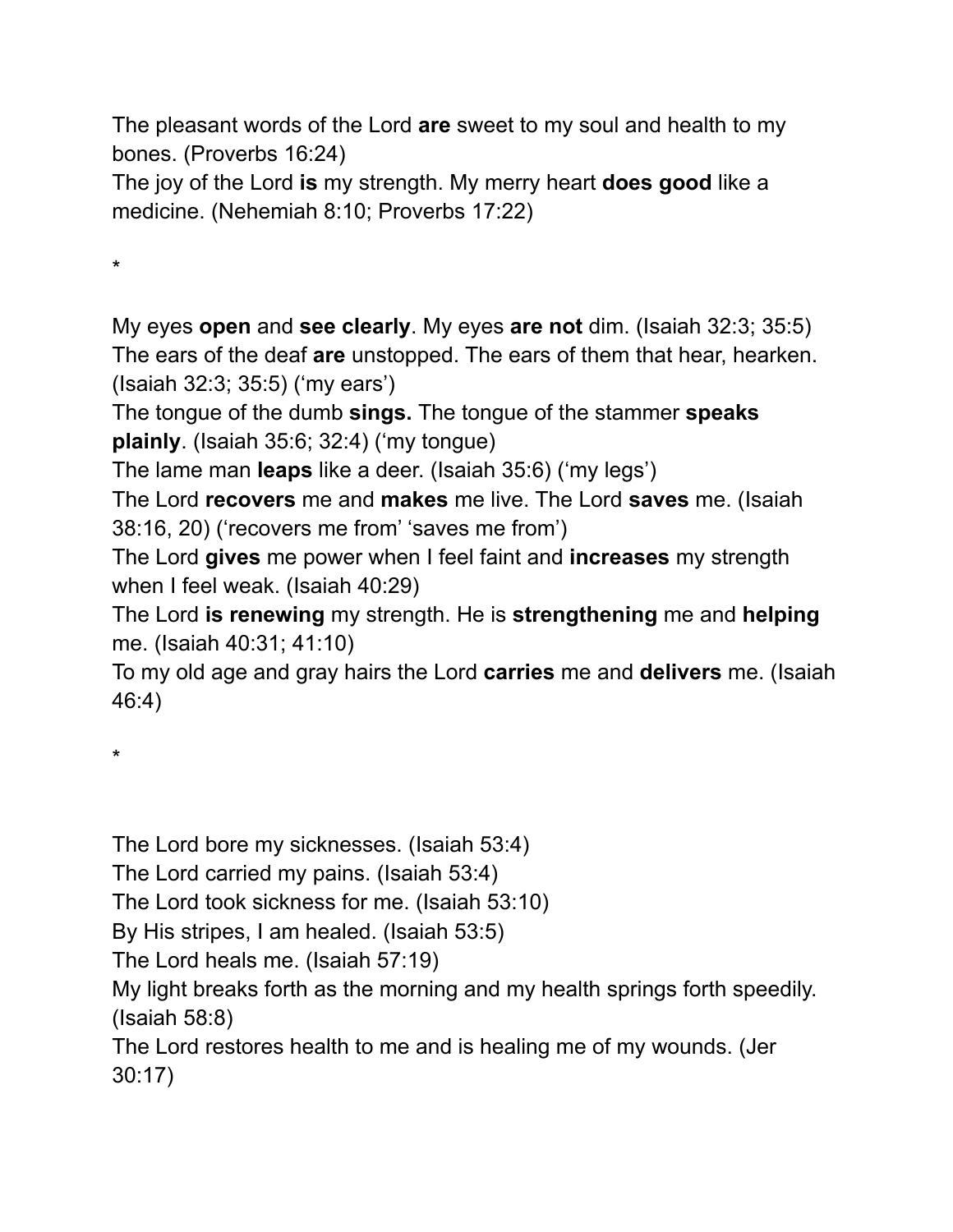The pleasant words of the Lord **are** sweet to my soul and health to my bones. (Proverbs 16:24)

The joy of the Lord **is** my strength. My merry heart **does good** like a medicine. (Nehemiah 8:10; Proverbs 17:22)

\*

My eyes **open** and **see clearly**. My eyes **are not** dim. (Isaiah 32:3; 35:5) The ears of the deaf **are** unstopped. The ears of them that hear, hearken. (Isaiah 32:3; 35:5) ('my ears')

The tongue of the dumb **sings.** The tongue of the stammer **speaks plainly**. (Isaiah 35:6; 32:4) ('my tongue)

The lame man **leaps** like a deer. (Isaiah 35:6) ('my legs')

The Lord **recovers** me and **makes** me live. The Lord **saves** me. (Isaiah 38:16, 20) ('recovers me from' 'saves me from')

The Lord **gives** me power when I feel faint and **increases** my strength when I feel weak. (Isaiah 40:29)

The Lord **is renewing** my strength. He is **strengthening** me and **helping** me. (Isaiah 40:31; 41:10)

To my old age and gray hairs the Lord **carries** me and **delivers** me. (Isaiah 46:4)

\*

The Lord bore my sicknesses. (Isaiah 53:4)

The Lord carried my pains. (Isaiah 53:4)

The Lord took sickness for me. (Isaiah 53:10)

By His stripes, I am healed. (Isaiah 53:5)

The Lord heals me. (Isaiah 57:19)

My light breaks forth as the morning and my health springs forth speedily. (Isaiah 58:8)

The Lord restores health to me and is healing me of my wounds. (Jer 30:17)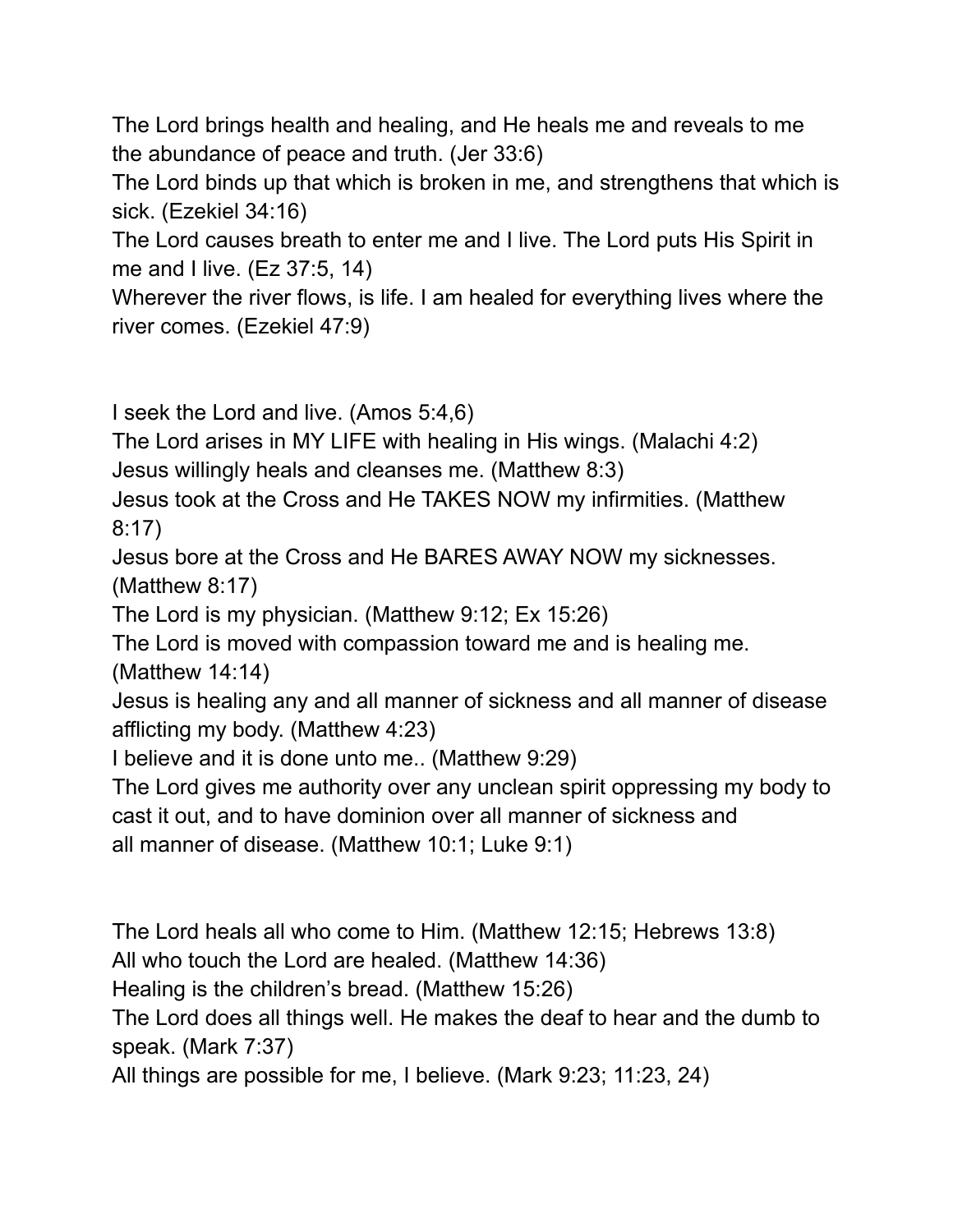The Lord brings health and healing, and He heals me and reveals to me the abundance of peace and truth. (Jer 33:6)

The Lord binds up that which is broken in me, and strengthens that which is sick. (Ezekiel 34:16)

The Lord causes breath to enter me and I live. The Lord puts His Spirit in me and I live. (Ez 37:5, 14)

Wherever the river flows, is life. I am healed for everything lives where the river comes. (Ezekiel 47:9)

I seek the Lord and live. (Amos 5:4,6)

The Lord arises in MY LIFE with healing in His wings. (Malachi 4:2) Jesus willingly heals and cleanses me. (Matthew 8:3)

Jesus took at the Cross and He TAKES NOW my infirmities. (Matthew 8:17)

Jesus bore at the Cross and He BARES AWAY NOW my sicknesses. (Matthew 8:17)

The Lord is my physician. (Matthew 9:12; Ex 15:26)

The Lord is moved with compassion toward me and is healing me.

(Matthew 14:14)

Jesus is healing any and all manner of sickness and all manner of disease afflicting my body. (Matthew 4:23)

I believe and it is done unto me.. (Matthew 9:29)

The Lord gives me authority over any unclean spirit oppressing my body to cast it out, and to have dominion over all manner of sickness and all manner of disease. (Matthew 10:1; Luke 9:1)

The Lord heals all who come to Him. (Matthew 12:15; Hebrews 13:8)

All who touch the Lord are healed. (Matthew 14:36)

Healing is the children's bread. (Matthew 15:26)

The Lord does all things well. He makes the deaf to hear and the dumb to speak. (Mark 7:37)

All things are possible for me, I believe. (Mark 9:23; 11:23, 24)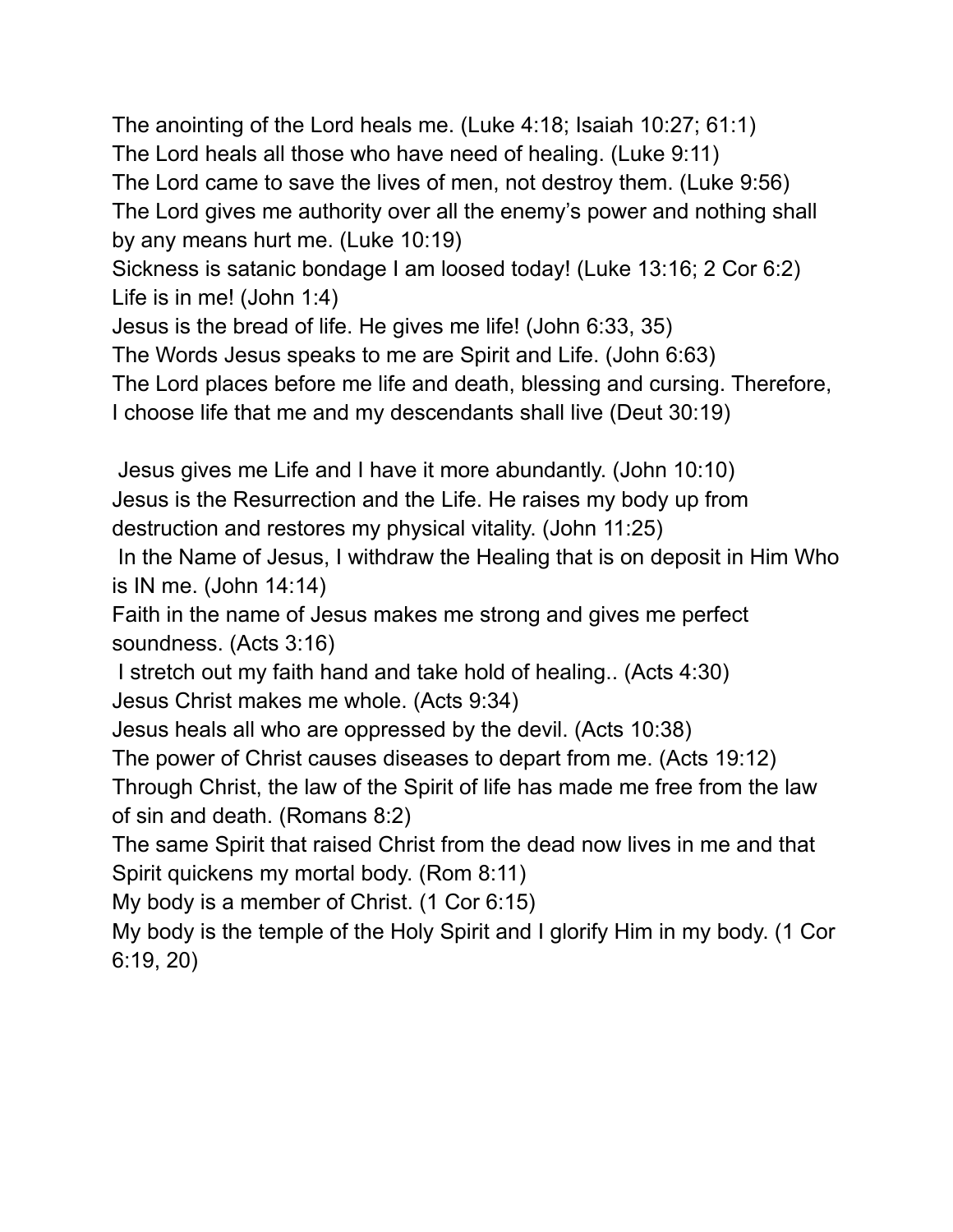The anointing of the Lord heals me. (Luke 4:18; Isaiah 10:27; 61:1) The Lord heals all those who have need of healing. (Luke 9:11) The Lord came to save the lives of men, not destroy them. (Luke 9:56) The Lord gives me authority over all the enemy's power and nothing shall by any means hurt me. (Luke 10:19) Sickness is satanic bondage I am loosed today! (Luke 13:16; 2 Cor 6:2)

Life is in me! (John 1:4)

Jesus is the bread of life. He gives me life! (John 6:33, 35)

The Words Jesus speaks to me are Spirit and Life. (John 6:63)

The Lord places before me life and death, blessing and cursing. Therefore, I choose life that me and my descendants shall live (Deut 30:19)

Jesus gives me Life and I have it more abundantly. (John 10:10) Jesus is the Resurrection and the Life. He raises my body up from destruction and restores my physical vitality. (John 11:25)

In the Name of Jesus, I withdraw the Healing that is on deposit in Him Who is IN me. (John 14:14)

Faith in the name of Jesus makes me strong and gives me perfect soundness. (Acts 3:16)

I stretch out my faith hand and take hold of healing.. (Acts 4:30) Jesus Christ makes me whole. (Acts 9:34)

Jesus heals all who are oppressed by the devil. (Acts 10:38)

The power of Christ causes diseases to depart from me. (Acts 19:12)

Through Christ, the law of the Spirit of life has made me free from the law of sin and death. (Romans 8:2)

The same Spirit that raised Christ from the dead now lives in me and that Spirit quickens my mortal body. (Rom 8:11)

My body is a member of Christ. (1 Cor 6:15)

My body is the temple of the Holy Spirit and I glorify Him in my body. (1 Cor 6:19, 20)